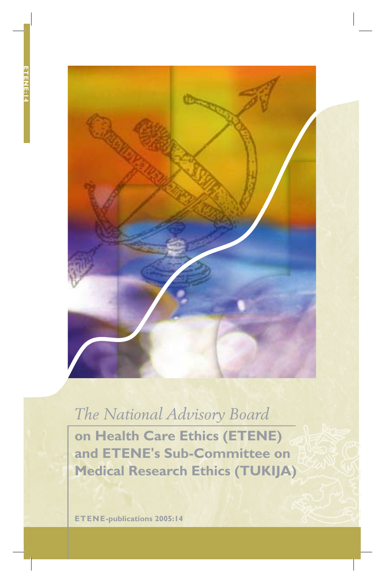

# *The National Advisory Board*

**on Health Care Ethics (ETENE) and ETENE's Sub-Committee on Medical Research Ethics (TUKIJA)**

**ETENE-publications 2005:14**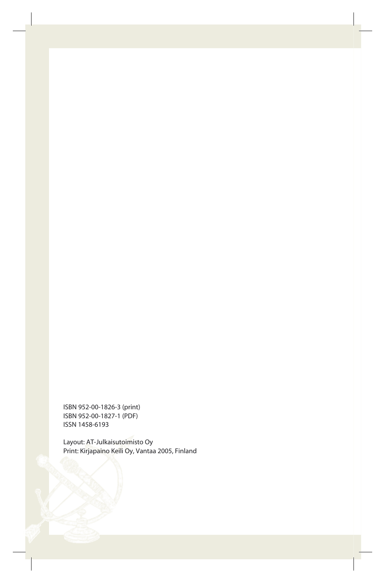ISBN 952-00-1826-3 (print) ISBN 952-00-1827-1 (PDF) ISSN 1458-6193

Layout: AT-Julkaisutoimisto Oy Print: Kirjapaino Keili Oy, Vantaa 2005, Finland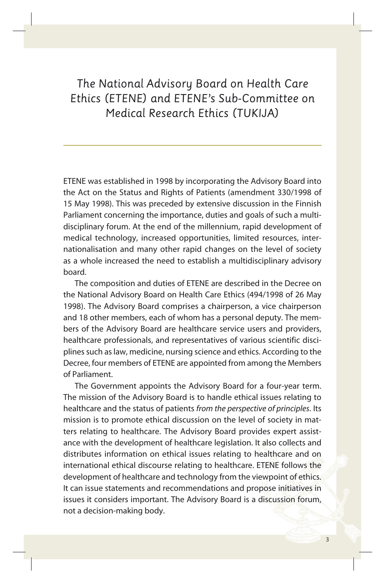*The National Advisory Board on Health Care Ethics (ETENE) and ETENE's Sub-Committee on Medical Research Ethics (TUKIJA)*

ETENE was established in 1998 by incorporating the Advisory Board into the Act on the Status and Rights of Patients (amendment 330/1998 of 15 May 1998). This was preceded by extensive discussion in the Finnish Parlia ment concerning the importance, duties and goals of such a multidisciplinary forum. At the end of the millennium, rapid development of medical technology, increased opportunities, limited resources, internationalisation and many other rapid changes on the level of society as a whole increased the need to establish a multidisciplinary advisory board.

The composition and duties of ETENE are described in the Decree on the National Advisory Board on Health Care Ethics (494/1998 of 26 May 1998). The Advisory Board comprises a chairperson, a vice chairperson and 18 other members, each of whom has a personal deputy. The members of the Advisory Board are healthcare service users and providers, healthcare professionals, and representatives of various scientific disciplines such as law, medicine, nursing science and ethics. According to the Decree, four members of ETENE are appointed from among the Members of Parliament.

The Government appoints the Advisory Board for a four-year term. The mission of the Advisory Board is to handle ethical issues relating to healthcare and the status of patients *from the perspective of principles*. Its mission is to promote ethical discussion on the level of society in matters relating to healthcare. The Advisory Board provides expert assistance with the development of healthcare legislation. It also collects and distributes information on ethical issues relating to healthcare and on international ethical discourse relating to healthcare. ETENE follows the development of healthcare and technology from the viewpoint of ethics. It can issue statements and recommendations and propose initiatives in issues it considers important. The Advisory Board is a discussion forum, not a decision-making body.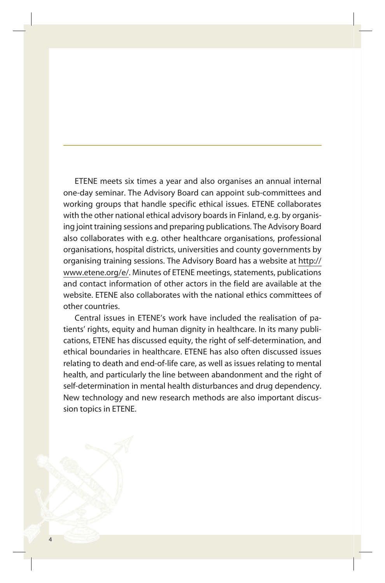ETENE meets six times a year and also organises an annual internal one-day seminar. The Advisory Board can appoint sub-committees and working groups that handle specific ethical issues. ETENE collaborates with the other national ethical advisory boards in Finland, e.g. by organising joint training sessions and preparing publications. The Advisory Board also collaborates with e.g. other healthcare organisations, professional organisations, hospital districts, universities and county governments by organising training sessions. The Advisory Board has a website at http:// www.etene.org/e/. Minutes of ETENE meetings, statements, publications and contact information of other actors in the field are available at the website. ETENE also collaborates with the national ethics committees of other countries.

Central issues in ETENE's work have included the realisation of patients' rights, equity and human dignity in healthcare. In its many publications, ETENE has discussed equity, the right of self-determination, and ethical boundaries in healthcare. ETENE has also often discussed issues relating to death and end-of-life care, as well as issues relating to mental health, and particularly the line between abandonment and the right of self-determination in mental health disturbances and drug dependency. New technology and new research methods are also important discussion topics in ETENE.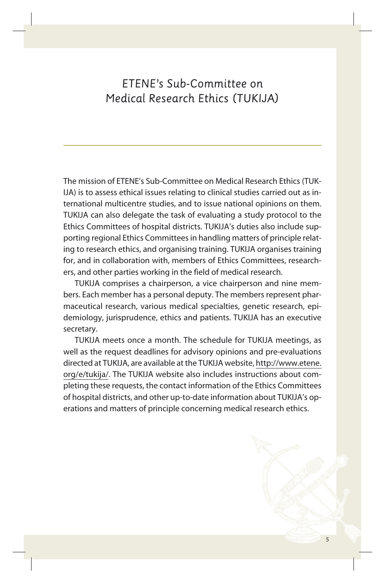# *ETENE's Sub-Committee on Medical Research Ethics (TUKIJA)*

The mission of ETENE's Sub-Committee on Medical Research Ethics (TUK-IJA) is to assess ethical issues relating to clinical studies carried out as international multicentre studies, and to issue national opinions on them. TUKIJA can also delegate the task of evaluating a study protocol to the Ethics Committees of hospital districts. TUKIJA's duties also include supporting regional Ethics Committees in handling matters of principle relating to research ethics, and organising training. TUKIJA organises training for, and in collaboration with, members of Ethics Committees, researchers, and other parties working in the field of medical research.

TUKIJA comprises a chairperson, a vice chairperson and nine members. Each member has a personal deputy. The members represent pharmaceutical research, various medical specialties, genetic research, epidemiology, jurisprudence, ethics and patients. TUKIJA has an executive secretary.

TUKIJA meets once a month. The schedule for TUKIJA meetings, as well as the request deadlines for advisory opinions and pre-evaluations directed at TUKIJA, are available at the TUKIJA website, http://www.etene. org/e/tukija/. The TUKIJA website also includes instructions about completing these requests, the contact information of the Ethics Committees of hospital districts, and other up-to-date information about TUKIJA's operations and matters of principle concerning medical research ethics.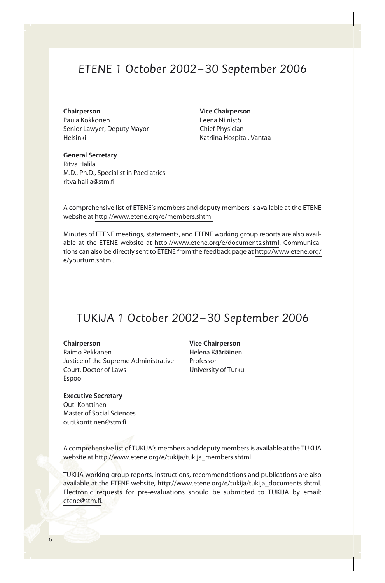## *ETENE 1 October 2002 – 30 September 2006*

**Chairperson Vice Chairperson** Paula Kokkonen Leena Niinistö Senior Lawyer, Deputy Mayor Chief Physician Helsinki Katriina Hospital, Vantaa

**General Secretary** Ritva Halila M.D., Ph.D., Specialist in Paediatrics ritva.halila@stm.fi

A comprehensive list of ETENE's members and deputy members is available at the ETENE website at http://www.etene.org/e/members.shtml

Minutes of ETENE meetings, statements, and ETENE working group reports are also available at the ETENE website at http://www.etene.org/e/documents.shtml. Communications can also be directly sent to ETENE from the feedback page at http://www.etene.org/ e/yourturn.shtml.

### *TUKIJA 1 October 2002 – 30 September 2006*

**Chairperson Vice Chairperson** Raimo Pekkanen Helena Kääriäinen Justice of the Supreme Administrative Professor Court, Doctor of Laws University of Turku Espoo

**Executive Secretary** Outi Konttinen Master of Social Sciences outi.konttinen@stm.fi

A comprehensive list of TUKIJA's members and deputy members is available at the TUKIJA website at http://www.etene.org/e/tukija/tukija\_members.shtml.

TUKIJA working group reports, instructions, recommendations and publications are also available at the ETENE website, http://www.etene.org/e/tukija/tukija\_documents.shtml. Electronic requests for pre-evaluations should be submitted to TUKIJA by email: etene@stm.fi.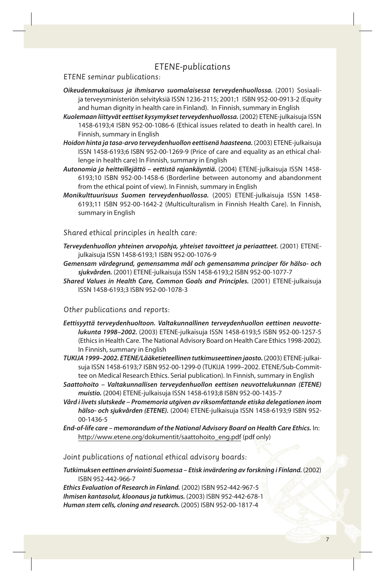### *ETENE-publications*

*ETENE seminar publications:*

- *Oikeudenmukaisuus ja ihmisarvo suomalaisessa terveydenhuollossa.* (2001) Sosiaalija terveysministeriön selvityksiä ISSN 1236-2115; 2001;1 ISBN 952-00-0913-2 (Equity and human dignity in health care in Finland). In Finnish, summary in English
- *Kuolemaan liittyvät eettiset kysymykset terveydenhuollossa.* (2002) ETENE-julkaisuja ISSN 1458-6193;4 ISBN 952-00-1086-6 (Ethical issues related to death in health care). In Finnish, summary in English
- *Hoidon hinta ja tasa-arvo terveydenhuollon eettisenä haasteena.* (2003) ETENE-julkaisuja ISSN 1458-6193;6 ISBN 952-00-1269-9 (Price of care and equality as an ethical challenge in health care) In Finnish, summary in English
- *Autonomia ja heitteillejättö eettistä rajankäyntiä.* (2004) ETENE-julkaisuja ISSN 1458- 6193;10 ISBN 952-00-1458-6 (Borderline between autonomy and abandonment from the ethical point of view). In Finnish, summary in English
- *Monikulttuurisuus Suomen terveydenhuollossa.* (2005) ETENE-julkaisuja ISSN 1458- 6193;11 ISBN 952-00-1642-2 (Multiculturalism in Finnish Health Care). In Finnish, summary in English

*Shared ethical principles in health care:*

- *Terveydenhuollon yhteinen arvopohja, yhteiset tavoitteet ja periaatteet.* (2001) ETENEjulkai suja ISSN 1458-6193;1 ISBN 952-00-1076-9
- *Gemensam värdegrund, gemensamma mål och gemensamma principer för hälso- och sjukvården.* (2001) ETENE-julkaisuja ISSN 1458-6193;2 ISBN 952-00-1077-7
- *Shared Values in Health Care, Common Goals and Principles.* (2001) ETENE-julkaisuja ISSN 1458-6193;3 ISBN 952-00-1078-3

#### *Other publications and reports:*

- *Eettisyyttä terveydenhuoltoon. Valtakunnallinen terveydenhuollon eettinen neuvottelukunta 1998–2002.* (2003) ETENE-julkaisuja ISSN 1458-6193;5 ISBN 952-00-1257-5 (Ethics in Health Care. The National Advisory Board on Health Care Ethics 1998-2002). In Finnish, summary in English
- *TUKIJA 1999–2002. ETENE/Lääketieteellinen tutkimuseettinen jaosto.* (2003) ETENE-julkaisuja ISSN 1458-6193;7 ISBN 952-00-1299-0 (TUKIJA 1999–2002. ETENE/Sub-Committee on Medical Research Ethics. Serial publication). In Finnish, summary in English
- *Saattohoito Valtakunnallisen terveydenhuollon eettisen neuvottelukunnan (ETENE) muistio.* (2004) ETENE-julkaisuja ISSN 1458-6193;8 ISBN 952-00-1435-7
- *Vård i livets slutskede Promemoria utgiven av riksomfattande etiska delegationen inom hälso- och sjukvården (ETENE).* (2004) ETENE-julkaisuja ISSN 1458-6193;9 ISBN 952- 00-1436-5
- *End-of-life care memorandum of the National Advisory Board on Health Care Ethics.* In: http://www.etene.org/dokumentit/saattohoito\_eng.pdf (pdf only)

*Joint publications of national ethical advisory boards:*

*Tutkimuksen eettinen arviointi Suomessa – Etisk invärdering av forskning i Finland.* (2002) ISBN 952-442-966-7

*Ethics Evaluation of Research in Finland.* (2002) ISBN 952-442-967-5 *Ihmisen kantasolut, kloonaus ja tutkimus.* (2003) ISBN 952-442-678-1 *Human stem cells, cloning and research.* (2005) ISBN 952-00-1817-4